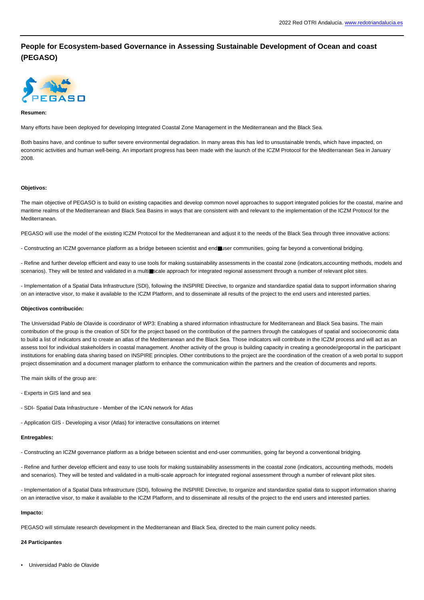# **People for Ecosystem-based Governance in Assessing Sustainable Development of Ocean and coast (PEGASO)**



#### **Resumen:**

Many efforts have been deployed for developing Integrated Coastal Zone Management in the Mediterranean and the Black Sea.

Both basins have, and continue to suffer severe environmental degradation. In many areas this has led to unsustainable trends, which have impacted, on economic activities and human well-being. An important progress has been made with the launch of the ICZM Protocol for the Mediterranean Sea in January 2008.

### **Objetivos:**

The main objective of PEGASO is to build on existing capacities and develop common novel approaches to support integrated policies for the coastal, marine and maritime realms of the Mediterranean and Black Sea Basins in ways that are consistent with and relevant to the implementation of the ICZM Protocol for the Mediterranean.

PEGASO will use the model of the existing ICZM Protocol for the Mediterranean and adjust it to the needs of the Black Sea through three innovative actions:

- Constructing an ICZM governance platform as a bridge between scientist and end■user communities, going far beyond a conventional bridging.

- Refine and further develop efficient and easy to use tools for making sustainability assessments in the coastal zone (indicators,accounting methods, models and scenarios). They will be tested and validated in a multi■scale approach for integrated regional assessment through a number of relevant pilot sites.

- Implementation of a Spatial Data Infrastructure (SDI), following the INSPIRE Directive, to organize and standardize spatial data to support information sharing on an interactive visor, to make it available to the ICZM Platform, and to disseminate all results of the project to the end users and interested parties.

## **Objectivos contribución:**

The Universidad Pablo de Olavide is coordinator of WP3: Enabling a shared information infrastructure for Mediterranean and Black Sea basins. The main contribution of the group is the creation of SDI for the project based on the contribution of the partners through the catalogues of spatial and socioeconomic data to build a list of indicators and to create an atlas of the Mediterranean and the Black Sea. Those indicators will contribute in the ICZM process and will act as an assess tool for individual stakeholders in coastal management. Another activity of the group is building capacity in creating a geonode/geoportal in the participant institutions for enabling data sharing based on INSPIRE principles. Other contributions to the project are the coordination of the creation of a web portal to support project dissemination and a document manager platform to enhance the communication within the partners and the creation of documents and reports.

The main skills of the group are:

- Experts in GIS land and sea
- SDI- Spatial Data Infrastructure Member of the ICAN network for Atlas
- Application GIS Developing a visor (Atlas) for interactive consultations on internet

#### **Entregables:**

- Constructing an ICZM governance platform as a bridge between scientist and end-user communities, going far beyond a conventional bridging.

- Refine and further develop efficient and easy to use tools for making sustainability assessments in the coastal zone (indicators, accounting methods, models and scenarios). They will be tested and validated in a multi-scale approach for integrated regional assessment through a number of relevant pilot sites.

- Implementation of a Spatial Data Infrastructure (SDI), following the INSPIRE Directive, to organize and standardize spatial data to support information sharing on an interactive visor, to make it available to the ICZM Platform, and to disseminate all results of the project to the end users and interested parties.

#### **Impacto:**

PEGASO will stimulate research development in the Mediterranean and Black Sea, directed to the main current policy needs.

## **24 Participantes**

• Universidad Pablo de Olavide